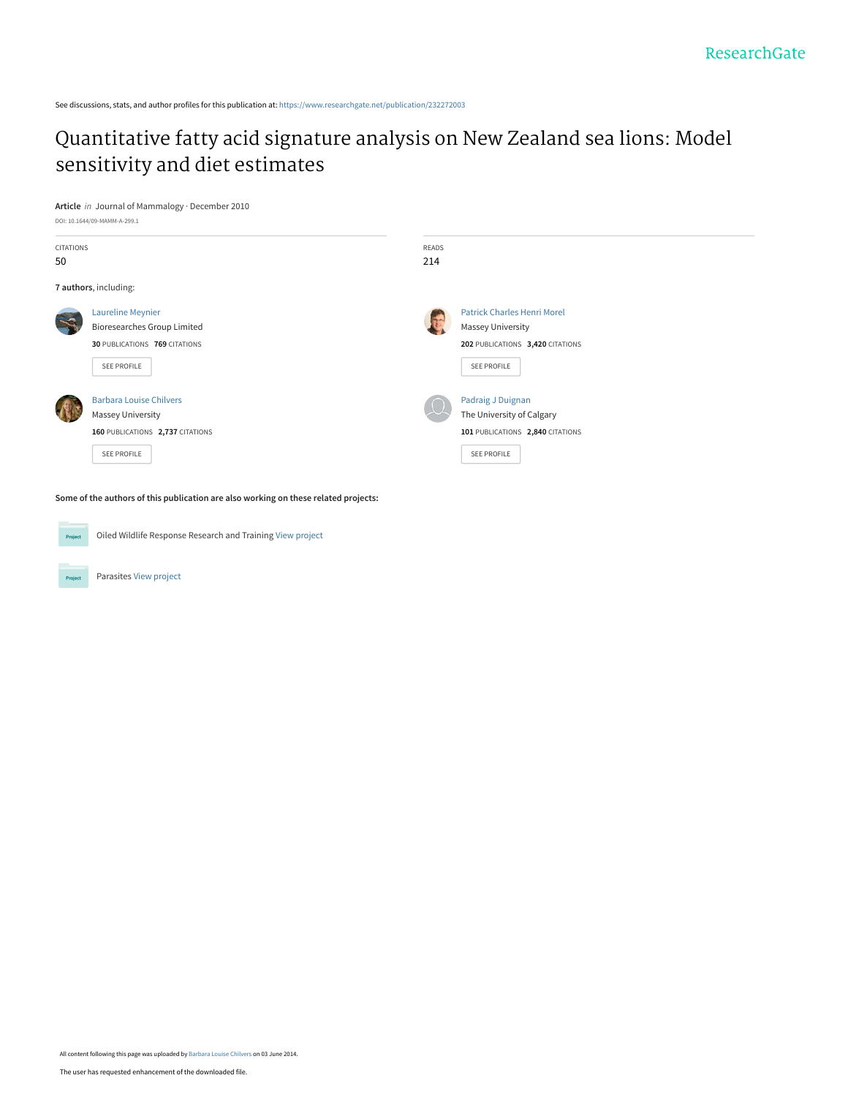See discussions, stats, and author profiles for this publication at: [https://www.researchgate.net/publication/232272003](https://www.researchgate.net/publication/232272003_Quantitative_fatty_acid_signature_analysis_on_New_Zealand_sea_lions_Model_sensitivity_and_diet_estimates?enrichId=rgreq-fa08fcc3c7ae6f5ba5570c5ac83abe50-XXX&enrichSource=Y292ZXJQYWdlOzIzMjI3MjAwMztBUzoxMDQwNjI3NDU4NDE2NzZAMTQwMTgyMTkwMDkwNg%3D%3D&el=1_x_2&_esc=publicationCoverPdf)

# [Quantitative fatty acid signature analysis on New Zealand sea lions: Model](https://www.researchgate.net/publication/232272003_Quantitative_fatty_acid_signature_analysis_on_New_Zealand_sea_lions_Model_sensitivity_and_diet_estimates?enrichId=rgreq-fa08fcc3c7ae6f5ba5570c5ac83abe50-XXX&enrichSource=Y292ZXJQYWdlOzIzMjI3MjAwMztBUzoxMDQwNjI3NDU4NDE2NzZAMTQwMTgyMTkwMDkwNg%3D%3D&el=1_x_3&_esc=publicationCoverPdf) sensitivity and diet estimates

**Article** in Journal of Mammalogy · December 2010

DOI: 10.1644/09-MAMM-A-299.1

| CITATIONS |                                    | READS                              |
|-----------|------------------------------------|------------------------------------|
| 50        |                                    | 214                                |
|           | 7 authors, including:              |                                    |
| $\prec$   | <b>Laureline Meynier</b>           | <b>Patrick Charles Henri Morel</b> |
|           | <b>Bioresearches Group Limited</b> | <b>Massey University</b>           |
|           | 30 PUBLICATIONS 769 CITATIONS      | 202 PUBLICATIONS 3,420 CITATIONS   |
|           | SEE PROFILE                        | SEE PROFILE                        |
|           | <b>Barbara Louise Chilvers</b>     | Padraig J Duignan                  |
|           | <b>Massey University</b>           | The University of Calgary          |
|           | 160 PUBLICATIONS 2,737 CITATIONS   | 101 PUBLICATIONS 2,840 CITATIONS   |
|           | <b>SEE PROFILE</b>                 | SEE PROFILE                        |
|           |                                    |                                    |
|           |                                    |                                    |

**Some of the authors of this publication are also working on these related projects:**

Oiled Wildlife Response Research and Training [View project](https://www.researchgate.net/project/Oiled-Wildlife-Response-Research-and-Training?enrichId=rgreq-fa08fcc3c7ae6f5ba5570c5ac83abe50-XXX&enrichSource=Y292ZXJQYWdlOzIzMjI3MjAwMztBUzoxMDQwNjI3NDU4NDE2NzZAMTQwMTgyMTkwMDkwNg%3D%3D&el=1_x_9&_esc=publicationCoverPdf)





Parasites [View project](https://www.researchgate.net/project/Parasites-3?enrichId=rgreq-fa08fcc3c7ae6f5ba5570c5ac83abe50-XXX&enrichSource=Y292ZXJQYWdlOzIzMjI3MjAwMztBUzoxMDQwNjI3NDU4NDE2NzZAMTQwMTgyMTkwMDkwNg%3D%3D&el=1_x_9&_esc=publicationCoverPdf)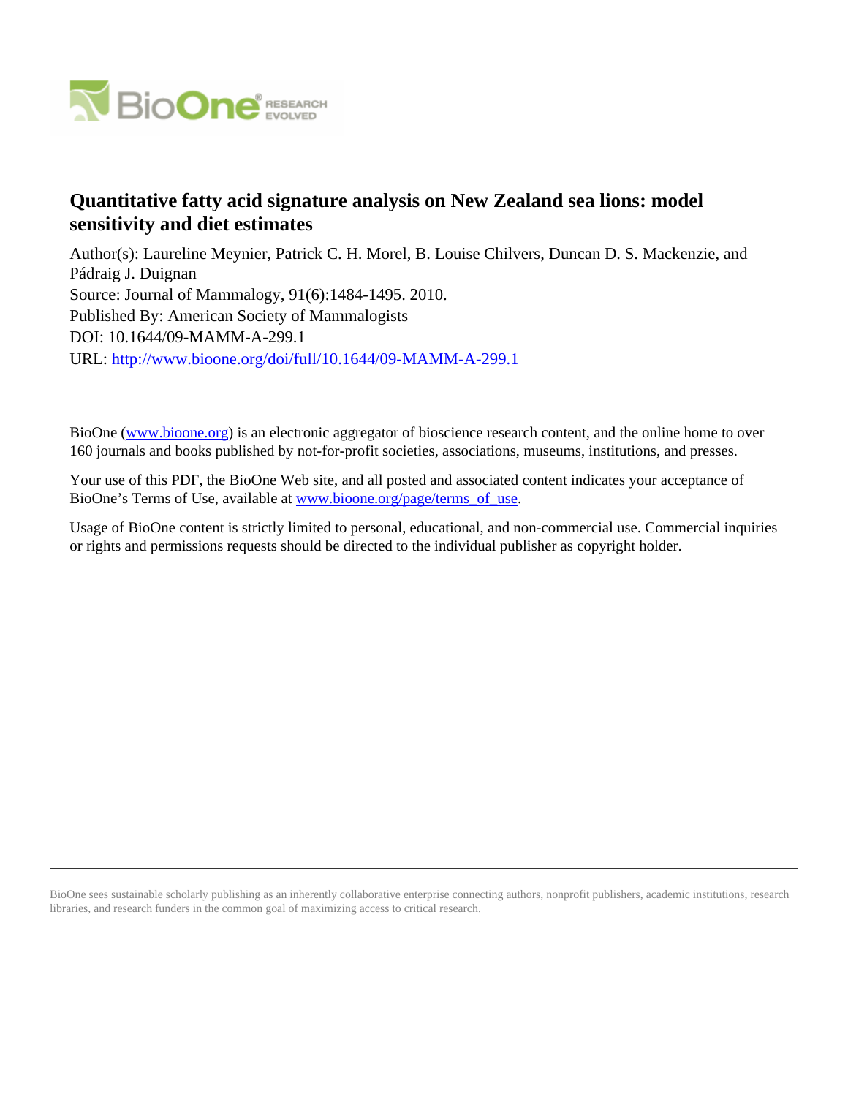

## **Quantitative fatty acid signature analysis on New Zealand sea lions: model sensitivity and diet estimates**

Author(s): Laureline Meynier, Patrick C. H. Morel, B. Louise Chilvers, Duncan D. S. Mackenzie, and Pádraig J. Duignan Source: Journal of Mammalogy, 91(6):1484-1495. 2010. Published By: American Society of Mammalogists DOI: 10.1644/09-MAMM-A-299.1 URL: <http://www.bioone.org/doi/full/10.1644/09-MAMM-A-299.1>

BioOne [\(www.bioone.org\)](http://www.bioone.org) is an electronic aggregator of bioscience research content, and the online home to over 160 journals and books published by not-for-profit societies, associations, museums, institutions, and presses.

Your use of this PDF, the BioOne Web site, and all posted and associated content indicates your acceptance of BioOne's Terms of Use, available at [www.bioone.org/page/terms\\_of\\_use.](http://www.bioone.org/page/terms_of_use)

Usage of BioOne content is strictly limited to personal, educational, and non-commercial use. Commercial inquiries or rights and permissions requests should be directed to the individual publisher as copyright holder.

BioOne sees sustainable scholarly publishing as an inherently collaborative enterprise connecting authors, nonprofit publishers, academic institutions, research libraries, and research funders in the common goal of maximizing access to critical research.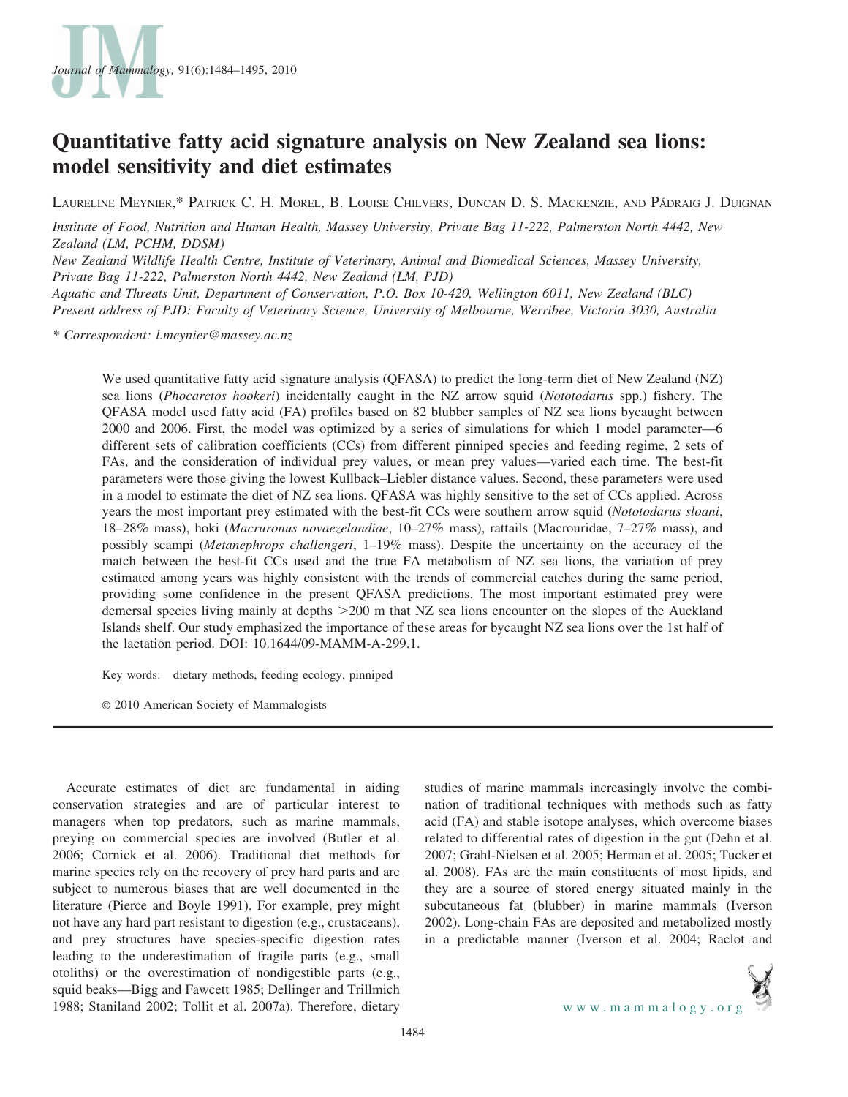

## Quantitative fatty acid signature analysis on New Zealand sea lions: model sensitivity and diet estimates

LAURELINE MEYNIER,\* PATRICK C. H. MOREL, B. LOUISE CHILVERS, DUNCAN D. S. MACKENZIE, AND PÁDRAIG J. DUIGNAN

Institute of Food, Nutrition and Human Health, Massey University, Private Bag 11-222, Palmerston North 4442, New Zealand (LM, PCHM, DDSM)

New Zealand Wildlife Health Centre, Institute of Veterinary, Animal and Biomedical Sciences, Massey University, Private Bag 11-222, Palmerston North 4442, New Zealand (LM, PJD) Aquatic and Threats Unit, Department of Conservation, P.O. Box 10-420, Wellington 6011, New Zealand (BLC)

Present address of PJD: Faculty of Veterinary Science, University of Melbourne, Werribee, Victoria 3030, Australia

\* Correspondent: l.meynier@massey.ac.nz

We used quantitative fatty acid signature analysis (QFASA) to predict the long-term diet of New Zealand (NZ) sea lions (Phocarctos hookeri) incidentally caught in the NZ arrow squid (Nototodarus spp.) fishery. The QFASA model used fatty acid (FA) profiles based on 82 blubber samples of NZ sea lions bycaught between 2000 and 2006. First, the model was optimized by a series of simulations for which 1 model parameter—6 different sets of calibration coefficients (CCs) from different pinniped species and feeding regime, 2 sets of FAs, and the consideration of individual prey values, or mean prey values—varied each time. The best-fit parameters were those giving the lowest Kullback–Liebler distance values. Second, these parameters were used in a model to estimate the diet of NZ sea lions. QFASA was highly sensitive to the set of CCs applied. Across years the most important prey estimated with the best-fit CCs were southern arrow squid (Nototodarus sloani, 18–28% mass), hoki (Macruronus novaezelandiae, 10–27% mass), rattails (Macrouridae, 7–27% mass), and possibly scampi (Metanephrops challengeri, 1–19% mass). Despite the uncertainty on the accuracy of the match between the best-fit CCs used and the true FA metabolism of NZ sea lions, the variation of prey estimated among years was highly consistent with the trends of commercial catches during the same period, providing some confidence in the present QFASA predictions. The most important estimated prey were demersal species living mainly at depths  $>200$  m that NZ sea lions encounter on the slopes of the Auckland Islands shelf. Our study emphasized the importance of these areas for bycaught NZ sea lions over the 1st half of the lactation period. DOI: 10.1644/09-MAMM-A-299.1.

Key words: dietary methods, feeding ecology, pinniped

E 2010 American Society of Mammalogists

Accurate estimates of diet are fundamental in aiding conservation strategies and are of particular interest to managers when top predators, such as marine mammals, preying on commercial species are involved (Butler et al. 2006; Cornick et al. 2006). Traditional diet methods for marine species rely on the recovery of prey hard parts and are subject to numerous biases that are well documented in the literature (Pierce and Boyle 1991). For example, prey might not have any hard part resistant to digestion (e.g., crustaceans), and prey structures have species-specific digestion rates leading to the underestimation of fragile parts (e.g., small otoliths) or the overestimation of nondigestible parts (e.g., squid beaks—Bigg and Fawcett 1985; Dellinger and Trillmich 1988; Staniland 2002; Tollit et al. 2007a). Therefore, dietary

studies of marine mammals increasingly involve the combination of traditional techniques with methods such as fatty acid (FA) and stable isotope analyses, which overcome biases related to differential rates of digestion in the gut (Dehn et al. 2007; Grahl-Nielsen et al. 2005; Herman et al. 2005; Tucker et al. 2008). FAs are the main constituents of most lipids, and they are a source of stored energy situated mainly in the subcutaneous fat (blubber) in marine mammals (Iverson 2002). Long-chain FAs are deposited and metabolized mostly in a predictable manner (Iverson et al. 2004; Raclot and

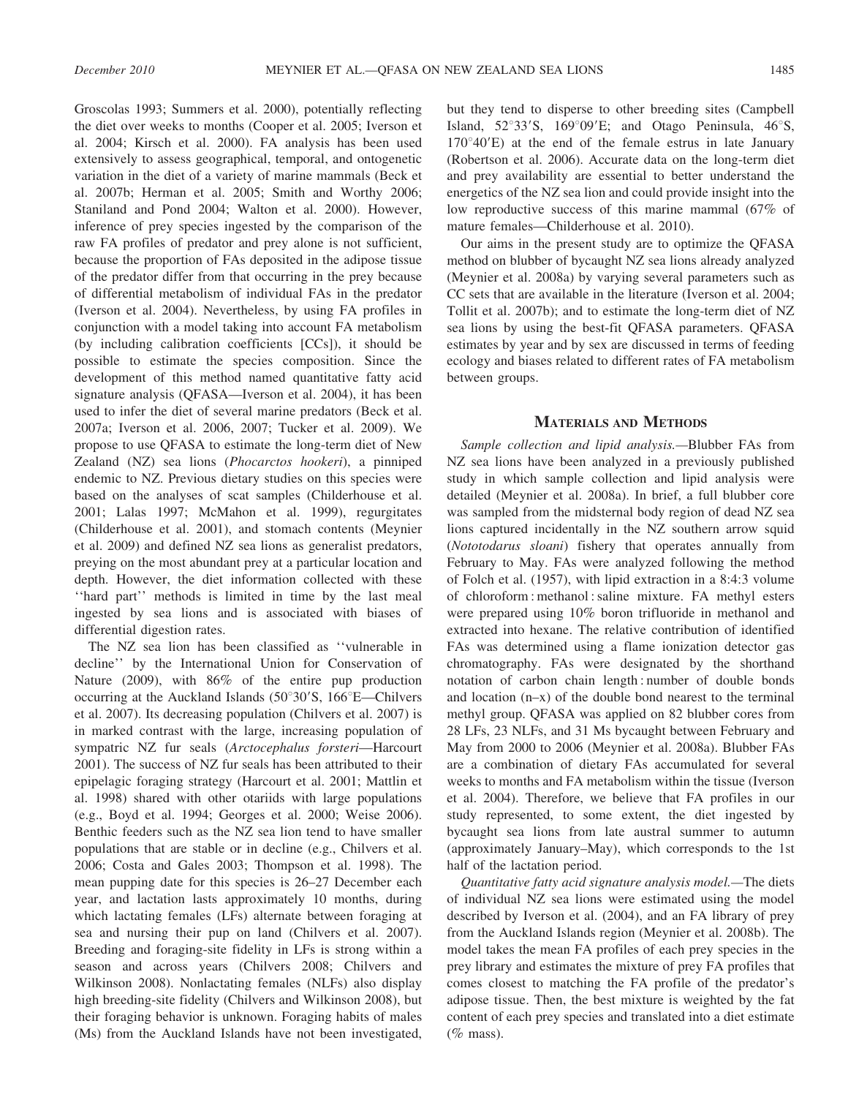Groscolas 1993; Summers et al. 2000), potentially reflecting the diet over weeks to months (Cooper et al. 2005; Iverson et al. 2004; Kirsch et al. 2000). FA analysis has been used extensively to assess geographical, temporal, and ontogenetic variation in the diet of a variety of marine mammals (Beck et al. 2007b; Herman et al. 2005; Smith and Worthy 2006; Staniland and Pond 2004; Walton et al. 2000). However, inference of prey species ingested by the comparison of the raw FA profiles of predator and prey alone is not sufficient, because the proportion of FAs deposited in the adipose tissue of the predator differ from that occurring in the prey because of differential metabolism of individual FAs in the predator (Iverson et al. 2004). Nevertheless, by using FA profiles in conjunction with a model taking into account FA metabolism (by including calibration coefficients [CCs]), it should be possible to estimate the species composition. Since the development of this method named quantitative fatty acid signature analysis (QFASA—Iverson et al. 2004), it has been used to infer the diet of several marine predators (Beck et al. 2007a; Iverson et al. 2006, 2007; Tucker et al. 2009). We propose to use QFASA to estimate the long-term diet of New Zealand (NZ) sea lions (Phocarctos hookeri), a pinniped endemic to NZ. Previous dietary studies on this species were based on the analyses of scat samples (Childerhouse et al. 2001; Lalas 1997; McMahon et al. 1999), regurgitates (Childerhouse et al. 2001), and stomach contents (Meynier et al. 2009) and defined NZ sea lions as generalist predators, preying on the most abundant prey at a particular location and depth. However, the diet information collected with these ''hard part'' methods is limited in time by the last meal ingested by sea lions and is associated with biases of differential digestion rates.

The NZ sea lion has been classified as ''vulnerable in decline'' by the International Union for Conservation of Nature (2009), with 86% of the entire pup production occurring at the Auckland Islands  $(50^{\circ}30^{\prime}S, 166^{\circ}E$ —Chilvers et al. 2007). Its decreasing population (Chilvers et al. 2007) is in marked contrast with the large, increasing population of sympatric NZ fur seals (Arctocephalus forsteri—Harcourt 2001). The success of NZ fur seals has been attributed to their epipelagic foraging strategy (Harcourt et al. 2001; Mattlin et al. 1998) shared with other otariids with large populations (e.g., Boyd et al. 1994; Georges et al. 2000; Weise 2006). Benthic feeders such as the NZ sea lion tend to have smaller populations that are stable or in decline (e.g., Chilvers et al. 2006; Costa and Gales 2003; Thompson et al. 1998). The mean pupping date for this species is 26–27 December each year, and lactation lasts approximately 10 months, during which lactating females (LFs) alternate between foraging at sea and nursing their pup on land (Chilvers et al. 2007). Breeding and foraging-site fidelity in LFs is strong within a season and across years (Chilvers 2008; Chilvers and Wilkinson 2008). Nonlactating females (NLFs) also display high breeding-site fidelity (Chilvers and Wilkinson 2008), but their foraging behavior is unknown. Foraging habits of males (Ms) from the Auckland Islands have not been investigated, but they tend to disperse to other breeding sites (Campbell Island,  $52^{\circ}33^{\prime}$ S,  $169^{\circ}09^{\prime}$ E; and Otago Peninsula,  $46^{\circ}$ S,  $170^{\circ}40'E$ ) at the end of the female estrus in late January (Robertson et al. 2006). Accurate data on the long-term diet and prey availability are essential to better understand the energetics of the NZ sea lion and could provide insight into the low reproductive success of this marine mammal (67% of mature females—Childerhouse et al. 2010).

Our aims in the present study are to optimize the QFASA method on blubber of bycaught NZ sea lions already analyzed (Meynier et al. 2008a) by varying several parameters such as CC sets that are available in the literature (Iverson et al. 2004; Tollit et al. 2007b); and to estimate the long-term diet of NZ sea lions by using the best-fit QFASA parameters. QFASA estimates by year and by sex are discussed in terms of feeding ecology and biases related to different rates of FA metabolism between groups.

### MATERIALS AND METHODS

Sample collection and lipid analysis.—Blubber FAs from NZ sea lions have been analyzed in a previously published study in which sample collection and lipid analysis were detailed (Meynier et al. 2008a). In brief, a full blubber core was sampled from the midsternal body region of dead NZ sea lions captured incidentally in the NZ southern arrow squid (Nototodarus sloani) fishery that operates annually from February to May. FAs were analyzed following the method of Folch et al. (1957), with lipid extraction in a 8:4:3 volume of chloroform : methanol : saline mixture. FA methyl esters were prepared using 10% boron trifluoride in methanol and extracted into hexane. The relative contribution of identified FAs was determined using a flame ionization detector gas chromatography. FAs were designated by the shorthand notation of carbon chain length : number of double bonds and location (n–x) of the double bond nearest to the terminal methyl group. QFASA was applied on 82 blubber cores from 28 LFs, 23 NLFs, and 31 Ms bycaught between February and May from 2000 to 2006 (Meynier et al. 2008a). Blubber FAs are a combination of dietary FAs accumulated for several weeks to months and FA metabolism within the tissue (Iverson et al. 2004). Therefore, we believe that FA profiles in our study represented, to some extent, the diet ingested by bycaught sea lions from late austral summer to autumn (approximately January–May), which corresponds to the 1st half of the lactation period.

Quantitative fatty acid signature analysis model.—The diets of individual NZ sea lions were estimated using the model described by Iverson et al. (2004), and an FA library of prey from the Auckland Islands region (Meynier et al. 2008b). The model takes the mean FA profiles of each prey species in the prey library and estimates the mixture of prey FA profiles that comes closest to matching the FA profile of the predator's adipose tissue. Then, the best mixture is weighted by the fat content of each prey species and translated into a diet estimate  $(\%$  mass).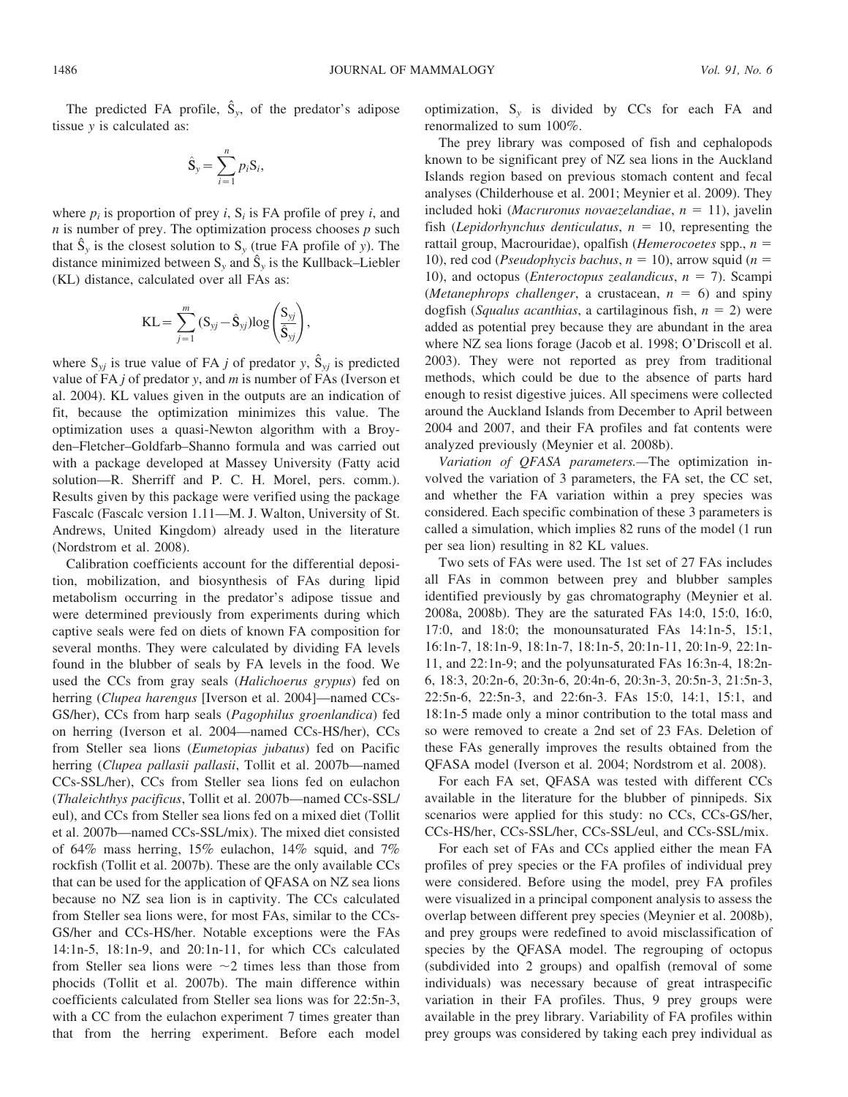The predicted FA profile,  $\hat{S}_v$ , of the predator's adipose tissue y is calculated as:

$$
\hat{\mathbf{S}}_{y} = \sum_{i=1}^{n} p_i \mathbf{S}_i,
$$

where  $p_i$  is proportion of prey *i*,  $S_i$  is FA profile of prey *i*, and  $n$  is number of prey. The optimization process chooses  $p$  such that  $\hat{S}_v$  is the closest solution to  $S_v$  (true FA profile of y). The distance minimized between  $S_y$  and  $\hat{S}_y$  is the Kullback–Liebler (KL) distance, calculated over all FAs as:

$$
KL = \sum_{j=1}^{m} (S_{yj} - \hat{S}_{yj}) log\left(\frac{S_{yj}}{\hat{S}_{yj}}\right),
$$

where  $S_{yj}$  is true value of FA j of predator y,  $\hat{S}_{yj}$  is predicted value of FA  $j$  of predator  $y$ , and  $m$  is number of FAs (Iverson et al. 2004). KL values given in the outputs are an indication of fit, because the optimization minimizes this value. The optimization uses a quasi-Newton algorithm with a Broyden–Fletcher–Goldfarb–Shanno formula and was carried out with a package developed at Massey University (Fatty acid solution—R. Sherriff and P. C. H. Morel, pers. comm.). Results given by this package were verified using the package Fascalc (Fascalc version 1.11—M. J. Walton, University of St. Andrews, United Kingdom) already used in the literature (Nordstrom et al. 2008).

Calibration coefficients account for the differential deposition, mobilization, and biosynthesis of FAs during lipid metabolism occurring in the predator's adipose tissue and were determined previously from experiments during which captive seals were fed on diets of known FA composition for several months. They were calculated by dividing FA levels found in the blubber of seals by FA levels in the food. We used the CCs from gray seals (Halichoerus grypus) fed on herring (Clupea harengus [Iverson et al. 2004]—named CCs-GS/her), CCs from harp seals (Pagophilus groenlandica) fed on herring (Iverson et al. 2004—named CCs-HS/her), CCs from Steller sea lions (Eumetopias jubatus) fed on Pacific herring (Clupea pallasii pallasii, Tollit et al. 2007b—named CCs-SSL/her), CCs from Steller sea lions fed on eulachon (Thaleichthys pacificus, Tollit et al. 2007b—named CCs-SSL/ eul), and CCs from Steller sea lions fed on a mixed diet (Tollit et al. 2007b—named CCs-SSL/mix). The mixed diet consisted of 64% mass herring, 15% eulachon, 14% squid, and 7% rockfish (Tollit et al. 2007b). These are the only available CCs that can be used for the application of QFASA on NZ sea lions because no NZ sea lion is in captivity. The CCs calculated from Steller sea lions were, for most FAs, similar to the CCs-GS/her and CCs-HS/her. Notable exceptions were the FAs 14:1n-5, 18:1n-9, and 20:1n-11, for which CCs calculated from Steller sea lions were  $\sim$ 2 times less than those from phocids (Tollit et al. 2007b). The main difference within coefficients calculated from Steller sea lions was for 22:5n-3, with a CC from the eulachon experiment 7 times greater than that from the herring experiment. Before each model optimization,  $S_v$  is divided by CCs for each FA and renormalized to sum 100%.

The prey library was composed of fish and cephalopods known to be significant prey of NZ sea lions in the Auckland Islands region based on previous stomach content and fecal analyses (Childerhouse et al. 2001; Meynier et al. 2009). They included hoki (Macruronus novaezelandiae,  $n = 11$ ), javelin fish (Lepidorhynchus denticulatus,  $n = 10$ , representing the rattail group, Macrouridae), opalfish (Hemerocoetes spp.,  $n =$ 10), red cod (*Pseudophycis bachus*,  $n = 10$ ), arrow squid ( $n =$ 10), and octopus (*Enteroctopus zealandicus*,  $n = 7$ ). Scampi (*Metanephrops challenger*, a crustacean,  $n = 6$ ) and spiny dogfish (Squalus acanthias, a cartilaginous fish,  $n = 2$ ) were added as potential prey because they are abundant in the area where NZ sea lions forage (Jacob et al. 1998; O'Driscoll et al. 2003). They were not reported as prey from traditional methods, which could be due to the absence of parts hard enough to resist digestive juices. All specimens were collected around the Auckland Islands from December to April between 2004 and 2007, and their FA profiles and fat contents were analyzed previously (Meynier et al. 2008b).

Variation of QFASA parameters.—The optimization involved the variation of 3 parameters, the FA set, the CC set, and whether the FA variation within a prey species was considered. Each specific combination of these 3 parameters is called a simulation, which implies 82 runs of the model (1 run per sea lion) resulting in 82 KL values.

Two sets of FAs were used. The 1st set of 27 FAs includes all FAs in common between prey and blubber samples identified previously by gas chromatography (Meynier et al. 2008a, 2008b). They are the saturated FAs 14:0, 15:0, 16:0, 17:0, and 18:0; the monounsaturated FAs 14:1n-5, 15:1, 16:1n-7, 18:1n-9, 18:1n-7, 18:1n-5, 20:1n-11, 20:1n-9, 22:1n-11, and 22:1n-9; and the polyunsaturated FAs 16:3n-4, 18:2n-6, 18:3, 20:2n-6, 20:3n-6, 20:4n-6, 20:3n-3, 20:5n-3, 21:5n-3, 22:5n-6, 22:5n-3, and 22:6n-3. FAs 15:0, 14:1, 15:1, and 18:1n-5 made only a minor contribution to the total mass and so were removed to create a 2nd set of 23 FAs. Deletion of these FAs generally improves the results obtained from the QFASA model (Iverson et al. 2004; Nordstrom et al. 2008).

For each FA set, QFASA was tested with different CCs available in the literature for the blubber of pinnipeds. Six scenarios were applied for this study: no CCs, CCs-GS/her, CCs-HS/her, CCs-SSL/her, CCs-SSL/eul, and CCs-SSL/mix.

For each set of FAs and CCs applied either the mean FA profiles of prey species or the FA profiles of individual prey were considered. Before using the model, prey FA profiles were visualized in a principal component analysis to assess the overlap between different prey species (Meynier et al. 2008b), and prey groups were redefined to avoid misclassification of species by the QFASA model. The regrouping of octopus (subdivided into 2 groups) and opalfish (removal of some individuals) was necessary because of great intraspecific variation in their FA profiles. Thus, 9 prey groups were available in the prey library. Variability of FA profiles within prey groups was considered by taking each prey individual as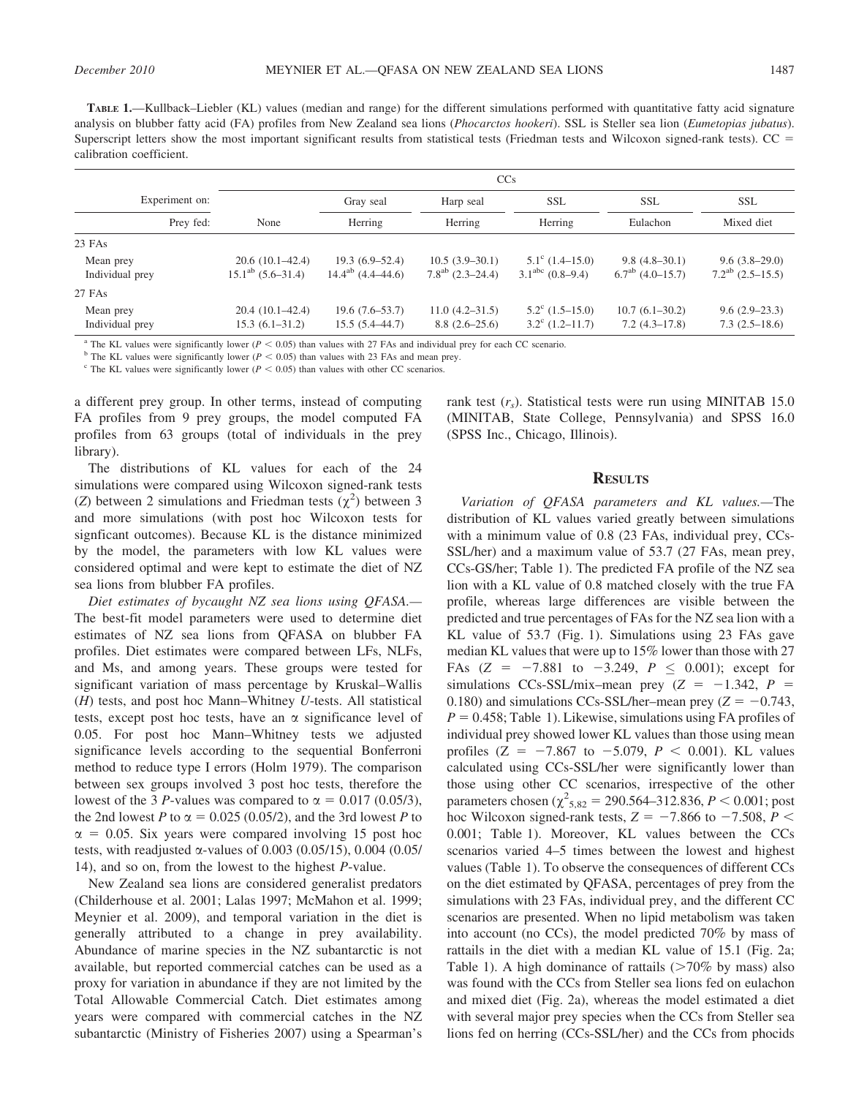TABLE 1.—Kullback–Liebler (KL) values (median and range) for the different simulations performed with quantitative fatty acid signature analysis on blubber fatty acid (FA) profiles from New Zealand sea lions (Phocarctos hookeri). SSL is Steller sea lion (Eumetopias jubatus). Superscript letters show the most important significant results from statistical tests (Friedman tests and Wilcoxon signed-rank tests).  $CC =$ calibration coefficient.

|                              | <b>CCs</b>                                  |                                            |                                           |                                                        |                                          |                                          |  |  |  |  |  |
|------------------------------|---------------------------------------------|--------------------------------------------|-------------------------------------------|--------------------------------------------------------|------------------------------------------|------------------------------------------|--|--|--|--|--|
| Experiment on:               |                                             | Gray seal                                  | Harp seal                                 | <b>SSL</b>                                             | <b>SSL</b>                               | <b>SSL</b><br>Mixed diet                 |  |  |  |  |  |
| Prey fed:                    | None                                        | Herring                                    | Herring                                   | Herring                                                | Eulachon                                 |                                          |  |  |  |  |  |
| $23$ FAs                     |                                             |                                            |                                           |                                                        |                                          |                                          |  |  |  |  |  |
| Mean prey<br>Individual prey | $20.6(10.1-42.4)$<br>$15.1^{ab}$ (5.6–31.4) | $19.3(6.9-52.4)$<br>$14.4^{ab}$ (4.4–44.6) | $10.5(3.9-30.1)$<br>$7.8^{ab}$ (2.3–24.4) | $5.1^{\circ}$ (1.4–15.0)<br>$3.1abc$ (0.8–9.4)         | $9.8(4.8-30.1)$<br>$6.7^{ab}$ (4.0–15.7) | $9.6(3.8-29.0)$<br>$7.2^{ab}$ (2.5–15.5) |  |  |  |  |  |
| 27 FAs                       |                                             |                                            |                                           |                                                        |                                          |                                          |  |  |  |  |  |
| Mean prey<br>Individual prey | $20.4(10.1-42.4)$<br>$15.3(6.1 - 31.2)$     | $19.6(7.6-53.7)$<br>$15.5(5.4 - 44.7)$     | $11.0(4.2 - 31.5)$<br>$8.8(2.6-25.6)$     | $5.2^{\circ}$ $(1.5-15.0)$<br>$3.2^{\circ}$ (1.2–11.7) | $10.7(6.1-30.2)$<br>$7.2(4.3-17.8)$      | $9.6(2.9-23.3)$<br>$7.3(2.5-18.6)$       |  |  |  |  |  |

<sup>a</sup> The KL values were significantly lower ( $P < 0.05$ ) than values with 27 FAs and individual prey for each CC scenario.

<sup>b</sup> The KL values were significantly lower ( $P < 0.05$ ) than values with 23 FAs and mean prey.

 $\degree$  The KL values were significantly lower ( $P < 0.05$ ) than values with other CC scenarios.

a different prey group. In other terms, instead of computing FA profiles from 9 prey groups, the model computed FA profiles from 63 groups (total of individuals in the prey library).

The distributions of KL values for each of the 24 simulations were compared using Wilcoxon signed-rank tests (Z) between 2 simulations and Friedman tests  $(\chi^2)$  between 3 and more simulations (with post hoc Wilcoxon tests for signficant outcomes). Because KL is the distance minimized by the model, the parameters with low KL values were considered optimal and were kept to estimate the diet of NZ sea lions from blubber FA profiles.

Diet estimates of bycaught NZ sea lions using QFASA.— The best-fit model parameters were used to determine diet estimates of NZ sea lions from QFASA on blubber FA profiles. Diet estimates were compared between LFs, NLFs, and Ms, and among years. These groups were tested for significant variation of mass percentage by Kruskal–Wallis (H) tests, and post hoc Mann–Whitney U-tests. All statistical tests, except post hoc tests, have an  $\alpha$  significance level of 0.05. For post hoc Mann–Whitney tests we adjusted significance levels according to the sequential Bonferroni method to reduce type I errors (Holm 1979). The comparison between sex groups involved 3 post hoc tests, therefore the lowest of the 3 *P*-values was compared to  $\alpha = 0.017$  (0.05/3), the 2nd lowest P to  $\alpha = 0.025$  (0.05/2), and the 3rd lowest P to  $\alpha$  = 0.05. Six years were compared involving 15 post hoc tests, with readjusted  $\alpha$ -values of 0.003 (0.05/15), 0.004 (0.05/ 14), and so on, from the lowest to the highest P-value.

New Zealand sea lions are considered generalist predators (Childerhouse et al. 2001; Lalas 1997; McMahon et al. 1999; Meynier et al. 2009), and temporal variation in the diet is generally attributed to a change in prey availability. Abundance of marine species in the NZ subantarctic is not available, but reported commercial catches can be used as a proxy for variation in abundance if they are not limited by the Total Allowable Commercial Catch. Diet estimates among years were compared with commercial catches in the NZ subantarctic (Ministry of Fisheries 2007) using a Spearman's rank test  $(r<sub>s</sub>)$ . Statistical tests were run using MINITAB 15.0 (MINITAB, State College, Pennsylvania) and SPSS 16.0 (SPSS Inc., Chicago, Illinois).

## **RESULTS**

Variation of QFASA parameters and KL values.—The distribution of KL values varied greatly between simulations with a minimum value of 0.8 (23 FAs, individual prey, CCs-SSL/her) and a maximum value of 53.7 (27 FAs, mean prey, CCs-GS/her; Table 1). The predicted FA profile of the NZ sea lion with a KL value of 0.8 matched closely with the true FA profile, whereas large differences are visible between the predicted and true percentages of FAs for the NZ sea lion with a KL value of 53.7 (Fig. 1). Simulations using 23 FAs gave median KL values that were up to 15% lower than those with 27 FAs  $(Z = -7.881$  to  $-3.249$ ,  $P \le 0.001$ ); except for simulations CCs-SSL/mix–mean prey  $(Z = -1.342, P =$ 0.180) and simulations CCs-SSL/her–mean prey  $(Z = -0.743$ ,  $P = 0.458$ ; Table 1). Likewise, simulations using FA profiles of individual prey showed lower KL values than those using mean profiles (Z =  $-7.867$  to  $-5.079$ ,  $P < 0.001$ ). KL values calculated using CCs-SSL/her were significantly lower than those using other CC scenarios, irrespective of the other parameters chosen ( $\chi^2_{5,82} = 290.564 - 312.836, P \le 0.001$ ; post hoc Wilcoxon signed-rank tests,  $Z = -7.866$  to  $-7.508$ ,  $P <$ 0.001; Table 1). Moreover, KL values between the CCs scenarios varied 4–5 times between the lowest and highest values (Table 1). To observe the consequences of different CCs on the diet estimated by QFASA, percentages of prey from the simulations with 23 FAs, individual prey, and the different CC scenarios are presented. When no lipid metabolism was taken into account (no CCs), the model predicted 70% by mass of rattails in the diet with a median KL value of 15.1 (Fig. 2a; Table 1). A high dominance of rattails  $(>= 70\%$  by mass) also was found with the CCs from Steller sea lions fed on eulachon and mixed diet (Fig. 2a), whereas the model estimated a diet with several major prey species when the CCs from Steller sea lions fed on herring (CCs-SSL/her) and the CCs from phocids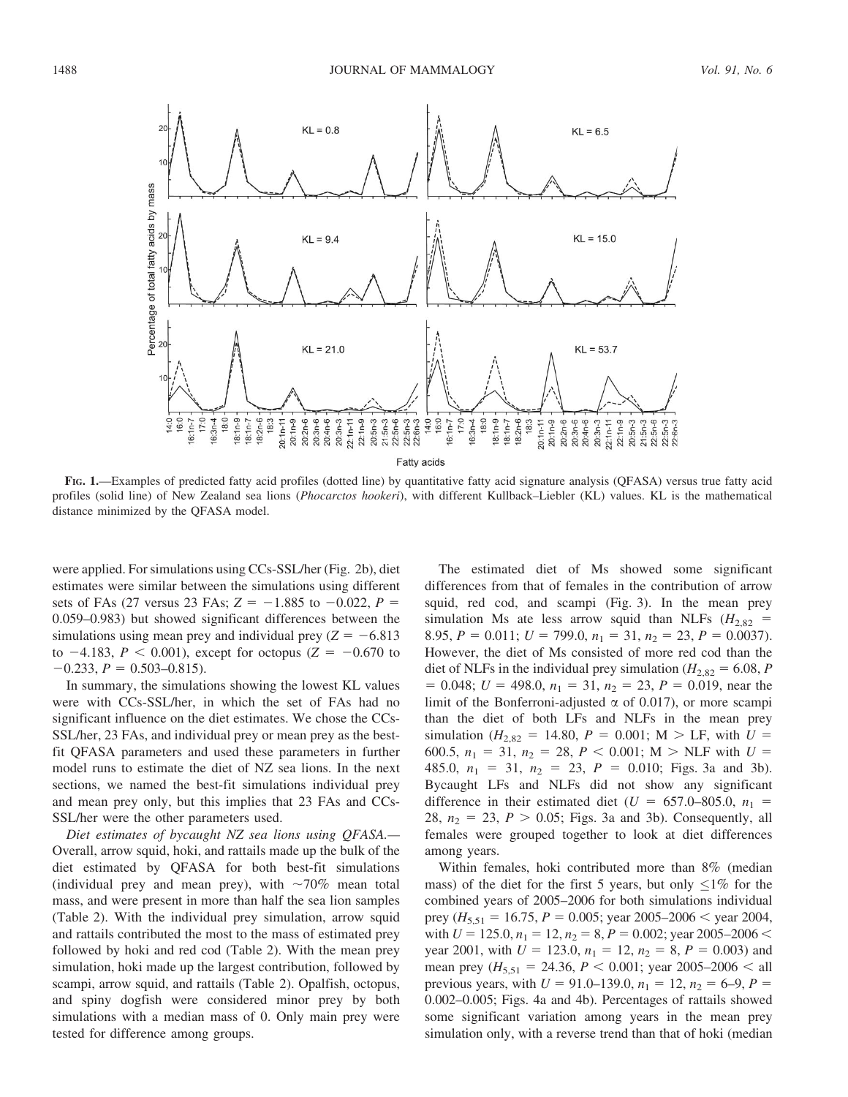

FIG. 1.—Examples of predicted fatty acid profiles (dotted line) by quantitative fatty acid signature analysis (QFASA) versus true fatty acid profiles (solid line) of New Zealand sea lions (Phocarctos hookeri), with different Kullback–Liebler (KL) values. KL is the mathematical distance minimized by the QFASA model.

were applied. For simulations using CCs-SSL/her (Fig. 2b), diet estimates were similar between the simulations using different sets of FAs (27 versus 23 FAs;  $Z = -1.885$  to  $-0.022$ ,  $P =$ 0.059–0.983) but showed significant differences between the simulations using mean prey and individual prey  $(Z = -6.813$ to  $-4.183$ ,  $P < 0.001$ ), except for octopus (Z =  $-0.670$  to  $-0.233$ ,  $P = 0.503 - 0.815$ .

In summary, the simulations showing the lowest KL values were with CCs-SSL/her, in which the set of FAs had no significant influence on the diet estimates. We chose the CCs-SSL/her, 23 FAs, and individual prey or mean prey as the bestfit QFASA parameters and used these parameters in further model runs to estimate the diet of NZ sea lions. In the next sections, we named the best-fit simulations individual prey and mean prey only, but this implies that 23 FAs and CCs-SSL/her were the other parameters used.

Diet estimates of bycaught NZ sea lions using QFASA.— Overall, arrow squid, hoki, and rattails made up the bulk of the diet estimated by QFASA for both best-fit simulations (individual prey and mean prey), with  $\sim 70\%$  mean total mass, and were present in more than half the sea lion samples (Table 2). With the individual prey simulation, arrow squid and rattails contributed the most to the mass of estimated prey followed by hoki and red cod (Table 2). With the mean prey simulation, hoki made up the largest contribution, followed by scampi, arrow squid, and rattails (Table 2). Opalfish, octopus, and spiny dogfish were considered minor prey by both simulations with a median mass of 0. Only main prey were tested for difference among groups.

The estimated diet of Ms showed some significant differences from that of females in the contribution of arrow squid, red cod, and scampi (Fig. 3). In the mean prey simulation Ms ate less arrow squid than NLFs ( $H_{2,82}$  = 8.95,  $P = 0.011$ ;  $U = 799.0$ ,  $n_1 = 31$ ,  $n_2 = 23$ ,  $P = 0.0037$ . However, the diet of Ms consisted of more red cod than the diet of NLFs in the individual prey simulation ( $H_{2,82} = 6.08$ , P  $= 0.048$ ;  $U = 498.0$ ,  $n_1 = 31$ ,  $n_2 = 23$ ,  $P = 0.019$ , near the limit of the Bonferroni-adjusted  $\alpha$  of 0.017), or more scampi than the diet of both LFs and NLFs in the mean prey simulation ( $H_{2,82} = 14.80$ ,  $P = 0.001$ ; M > LF, with  $U =$ 600.5,  $n_1 = 31$ ,  $n_2 = 28$ ,  $P < 0.001$ ; M > NLF with  $U =$ 485.0,  $n_1 = 31$ ,  $n_2 = 23$ ,  $P = 0.010$ ; Figs. 3a and 3b). Bycaught LFs and NLFs did not show any significant difference in their estimated diet ( $U = 657.0{\text -}805.0$ ,  $n_1$  = 28,  $n_2 = 23$ ,  $P > 0.05$ ; Figs. 3a and 3b). Consequently, all females were grouped together to look at diet differences among years.

Within females, hoki contributed more than 8% (median mass) of the diet for the first 5 years, but only  $\leq 1\%$  for the combined years of 2005–2006 for both simulations individual prey ( $H_{5,51} = 16.75$ ,  $P = 0.005$ ; year 2005–2006 < year 2004, with  $U = 125.0$ ,  $n_1 = 12$ ,  $n_2 = 8$ ,  $P = 0.002$ ; year 2005–2006 < year 2001, with  $U = 123.0$ ,  $n_1 = 12$ ,  $n_2 = 8$ ,  $P = 0.003$ ) and mean prey ( $H_{5,51} = 24.36$ ,  $P < 0.001$ ; year 2005–2006 < all previous years, with  $U = 91.0$ –139.0,  $n_1 = 12$ ,  $n_2 = 6$ –9,  $P =$ 0.002–0.005; Figs. 4a and 4b). Percentages of rattails showed some significant variation among years in the mean prey simulation only, with a reverse trend than that of hoki (median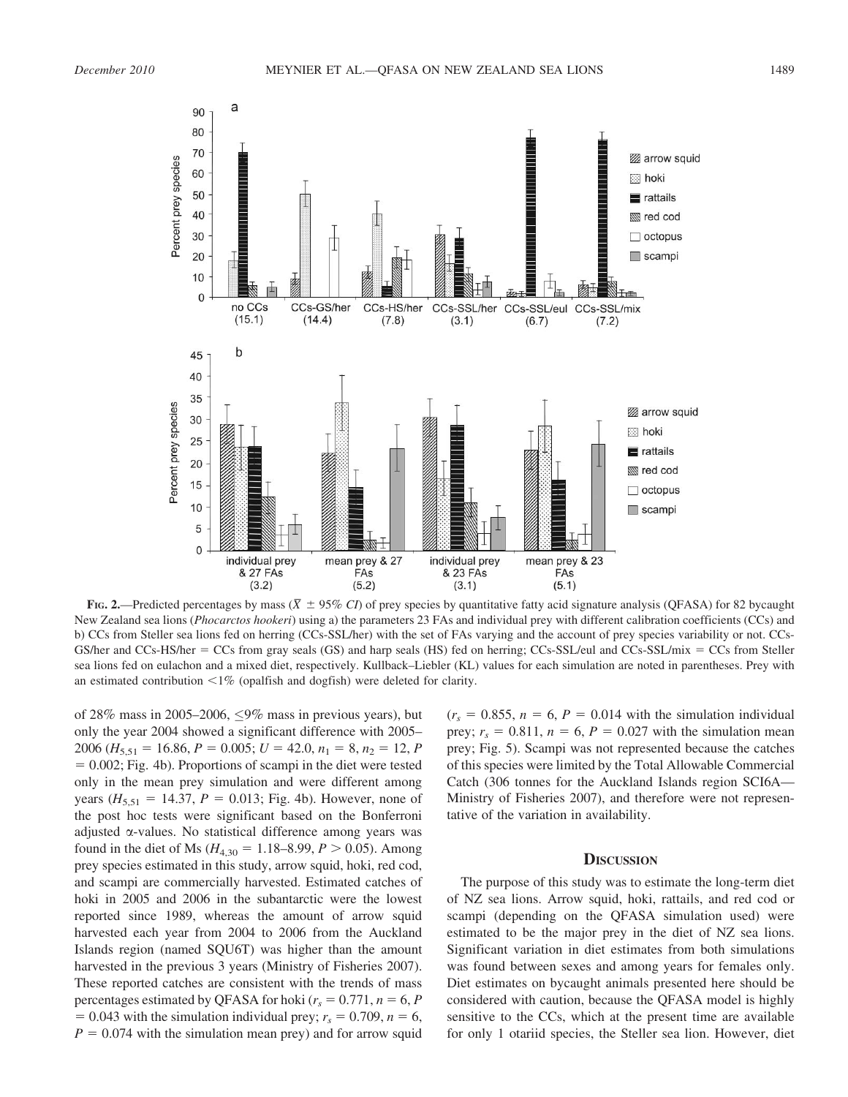

FIG. 2.—Predicted percentages by mass ( $\overline{X}$   $\pm$  95% CI) of prey species by quantitative fatty acid signature analysis (QFASA) for 82 bycaught New Zealand sea lions (Phocarctos hookeri) using a) the parameters 23 FAs and individual prey with different calibration coefficients (CCs) and b) CCs from Steller sea lions fed on herring (CCs-SSL/her) with the set of FAs varying and the account of prey species variability or not. CCs-GS/her and CCs-HS/her  $=$  CCs from gray seals (GS) and harp seals (HS) fed on herring; CCs-SSL/eul and CCs-SSL/mix  $=$  CCs from Steller sea lions fed on eulachon and a mixed diet, respectively. Kullback–Liebler (KL) values for each simulation are noted in parentheses. Prey with an estimated contribution  $\langle 1\%$  (opalfish and dogfish) were deleted for clarity.

of 28% mass in 2005–2006,  $\leq$ 9% mass in previous years), but only the year 2004 showed a significant difference with 2005– 2006 ( $H_{5,51} = 16.86$ ,  $P = 0.005$ ;  $U = 42.0$ ,  $n_1 = 8$ ,  $n_2 = 12$ , P  $= 0.002$ ; Fig. 4b). Proportions of scampi in the diet were tested only in the mean prey simulation and were different among years ( $H_{5,51} = 14.37$ ,  $P = 0.013$ ; Fig. 4b). However, none of the post hoc tests were significant based on the Bonferroni adjusted  $\alpha$ -values. No statistical difference among years was found in the diet of Ms ( $H_{4,30} = 1.18-8.99$ ,  $P > 0.05$ ). Among prey species estimated in this study, arrow squid, hoki, red cod, and scampi are commercially harvested. Estimated catches of hoki in 2005 and 2006 in the subantarctic were the lowest reported since 1989, whereas the amount of arrow squid harvested each year from 2004 to 2006 from the Auckland Islands region (named SQU6T) was higher than the amount harvested in the previous 3 years (Ministry of Fisheries 2007). These reported catches are consistent with the trends of mass percentages estimated by QFASA for hoki ( $r_s = 0.771$ ,  $n = 6$ , P  $= 0.043$  with the simulation individual prey;  $r_s = 0.709$ ,  $n = 6$ ,  $P = 0.074$  with the simulation mean prey) and for arrow squid

 $(r<sub>s</sub> = 0.855, n = 6, P = 0.014$  with the simulation individual prey;  $r_s = 0.811$ ,  $n = 6$ ,  $P = 0.027$  with the simulation mean prey; Fig. 5). Scampi was not represented because the catches of this species were limited by the Total Allowable Commercial Catch (306 tonnes for the Auckland Islands region SCI6A— Ministry of Fisheries 2007), and therefore were not representative of the variation in availability.

## **DISCUSSION**

The purpose of this study was to estimate the long-term diet of NZ sea lions. Arrow squid, hoki, rattails, and red cod or scampi (depending on the QFASA simulation used) were estimated to be the major prey in the diet of NZ sea lions. Significant variation in diet estimates from both simulations was found between sexes and among years for females only. Diet estimates on bycaught animals presented here should be considered with caution, because the QFASA model is highly sensitive to the CCs, which at the present time are available for only 1 otariid species, the Steller sea lion. However, diet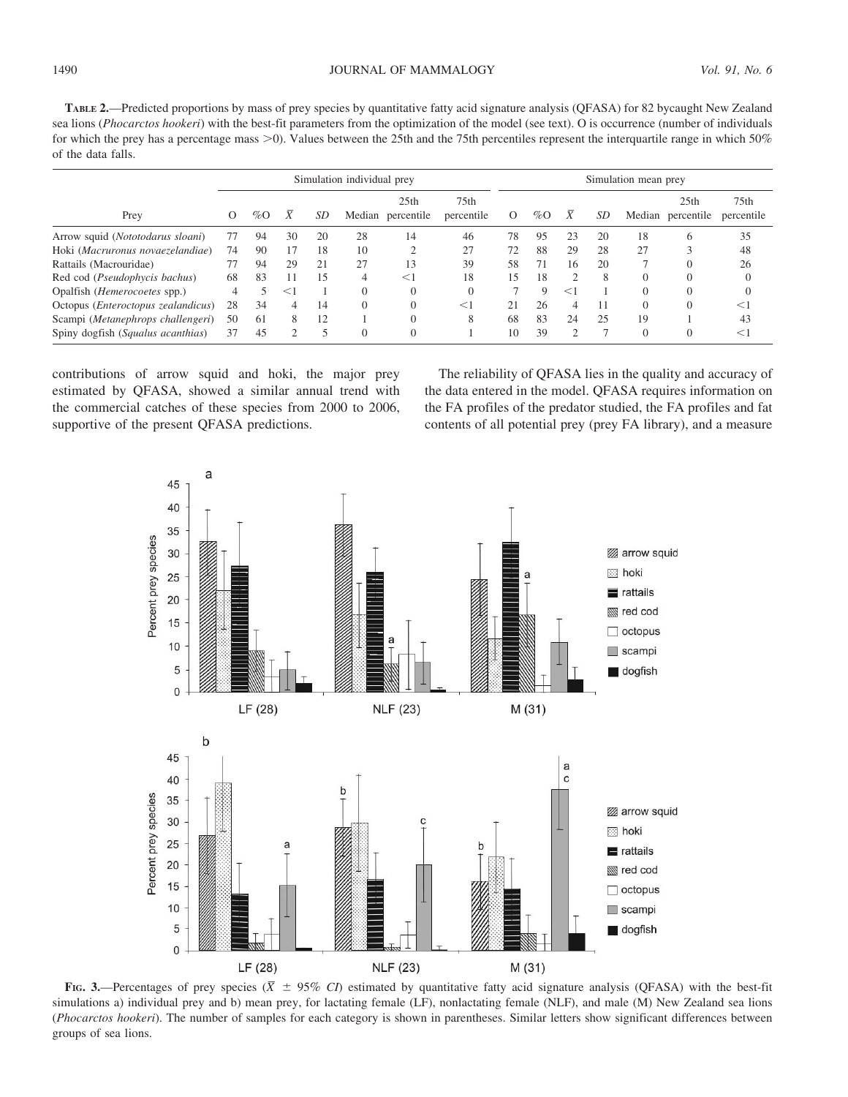TABLE 2.—Predicted proportions by mass of prey species by quantitative fatty acid signature analysis (QFASA) for 82 bycaught New Zealand sea lions (Phocarctos hookeri) with the best-fit parameters from the optimization of the model (see text). O is occurrence (number of individuals for which the prey has a percentage mass  $>0$ ). Values between the 25th and the 75th percentiles represent the interquartile range in which 50% of the data falls.

|                                             | Simulation individual prey |        |       |    |          |                                       |                                | Simulation mean prey |             |               |    |          |                                       |                    |
|---------------------------------------------|----------------------------|--------|-------|----|----------|---------------------------------------|--------------------------------|----------------------|-------------|---------------|----|----------|---------------------------------------|--------------------|
| Prey                                        | $\Omega$                   | $\%$ O |       | SD |          | 25 <sub>th</sub><br>Median percentile | 75 <sub>th</sub><br>percentile | $\Omega$             | $\%$ O      | Χ             | SD |          | 25 <sub>th</sub><br>Median percentile | 75th<br>percentile |
| Arrow squid ( <i>Nototodarus sloani</i> )   |                            | 94     | 30    | 20 | 28       | 14                                    | 46                             | 78                   | 95          | 23            | 20 | 18       | <sub>(</sub>                          | 35                 |
| Hoki (Macruronus novaezelandiae)            | 74                         | 90     | 17    | 18 | 10       |                                       | 27                             | 72                   | 88          | 29            | 28 | 27       | $\sim$                                | 48                 |
| Rattails (Macrouridae)                      |                            | 94     | 29    | 21 | 27       | 13                                    | 39                             | 58                   |             | 16            | 20 |          |                                       | 26                 |
| Red cod (Pseudophycis bachus)               | 68                         | 83     |       | 15 | 4        | $<$ 1                                 | 18                             | 15                   | 18          | 2             | 8  | $\Omega$ |                                       | $\Omega$           |
| Opalfish ( <i>Hemerocoetes</i> spp.)        |                            |        | $<$ 1 |    |          |                                       |                                |                      | $\mathbf Q$ | $<$ 1         |    |          | $\Omega$                              | $\Omega$           |
| Octopus ( <i>Enteroctopus zealandicus</i> ) | 28                         | 34     | 4     | 14 | $\Omega$ |                                       | $<$ 1                          | 21                   | 26          | 4             |    |          | $\Omega$                              |                    |
| Scampi (Metanephrops challengeri)           | 50                         | 61     | 8     | 12 |          |                                       | 8                              | 68                   | 83          | 24            | 25 | 19       |                                       | 43                 |
| Spiny dogfish (Squalus acanthias)           | 37                         | 45     | ↑     | 5  | $\Omega$ |                                       |                                | 10                   | 39          | $\mathcal{D}$ |    | $\Omega$ |                                       | $\leq$ 1           |

contributions of arrow squid and hoki, the major prey estimated by QFASA, showed a similar annual trend with the commercial catches of these species from 2000 to 2006, supportive of the present QFASA predictions.

The reliability of QFASA lies in the quality and accuracy of the data entered in the model. QFASA requires information on the FA profiles of the predator studied, the FA profiles and fat contents of all potential prey (prey FA library), and a measure



FIG. 3.—Percentages of prey species ( $\overline{X}$   $\pm$  95% CI) estimated by quantitative fatty acid signature analysis (QFASA) with the best-fit simulations a) individual prey and b) mean prey, for lactating female (LF), nonlactating female (NLF), and male (M) New Zealand sea lions (Phocarctos hookeri). The number of samples for each category is shown in parentheses. Similar letters show significant differences between groups of sea lions.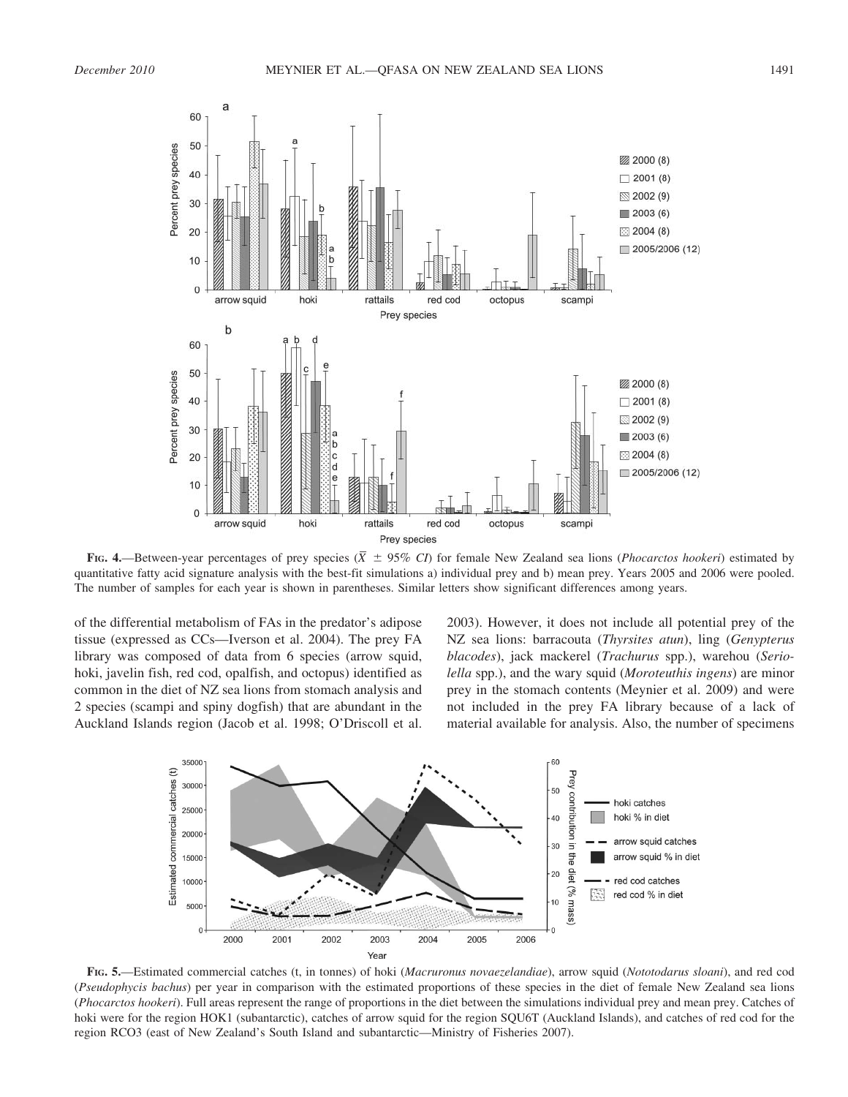

FIG. 4.—Between-year percentages of prey species ( $\overline{X}$   $\pm$  95% CI) for female New Zealand sea lions (*Phocarctos hookeri*) estimated by quantitative fatty acid signature analysis with the best-fit simulations a) individual prey and b) mean prey. Years 2005 and 2006 were pooled. The number of samples for each year is shown in parentheses. Similar letters show significant differences among years.

of the differential metabolism of FAs in the predator's adipose tissue (expressed as CCs—Iverson et al. 2004). The prey FA library was composed of data from 6 species (arrow squid, hoki, javelin fish, red cod, opalfish, and octopus) identified as common in the diet of NZ sea lions from stomach analysis and 2 species (scampi and spiny dogfish) that are abundant in the Auckland Islands region (Jacob et al. 1998; O'Driscoll et al.

2003). However, it does not include all potential prey of the NZ sea lions: barracouta (Thyrsites atun), ling (Genypterus blacodes), jack mackerel (Trachurus spp.), warehou (Seriolella spp.), and the wary squid (Moroteuthis ingens) are minor prey in the stomach contents (Meynier et al. 2009) and were not included in the prey FA library because of a lack of material available for analysis. Also, the number of specimens



FIG. 5.—Estimated commercial catches (t, in tonnes) of hoki (Macruronus novaezelandiae), arrow squid (Nototodarus sloani), and red cod (Pseudophycis bachus) per year in comparison with the estimated proportions of these species in the diet of female New Zealand sea lions (Phocarctos hookeri). Full areas represent the range of proportions in the diet between the simulations individual prey and mean prey. Catches of hoki were for the region HOK1 (subantarctic), catches of arrow squid for the region SQU6T (Auckland Islands), and catches of red cod for the region RCO3 (east of New Zealand's South Island and subantarctic—Ministry of Fisheries 2007).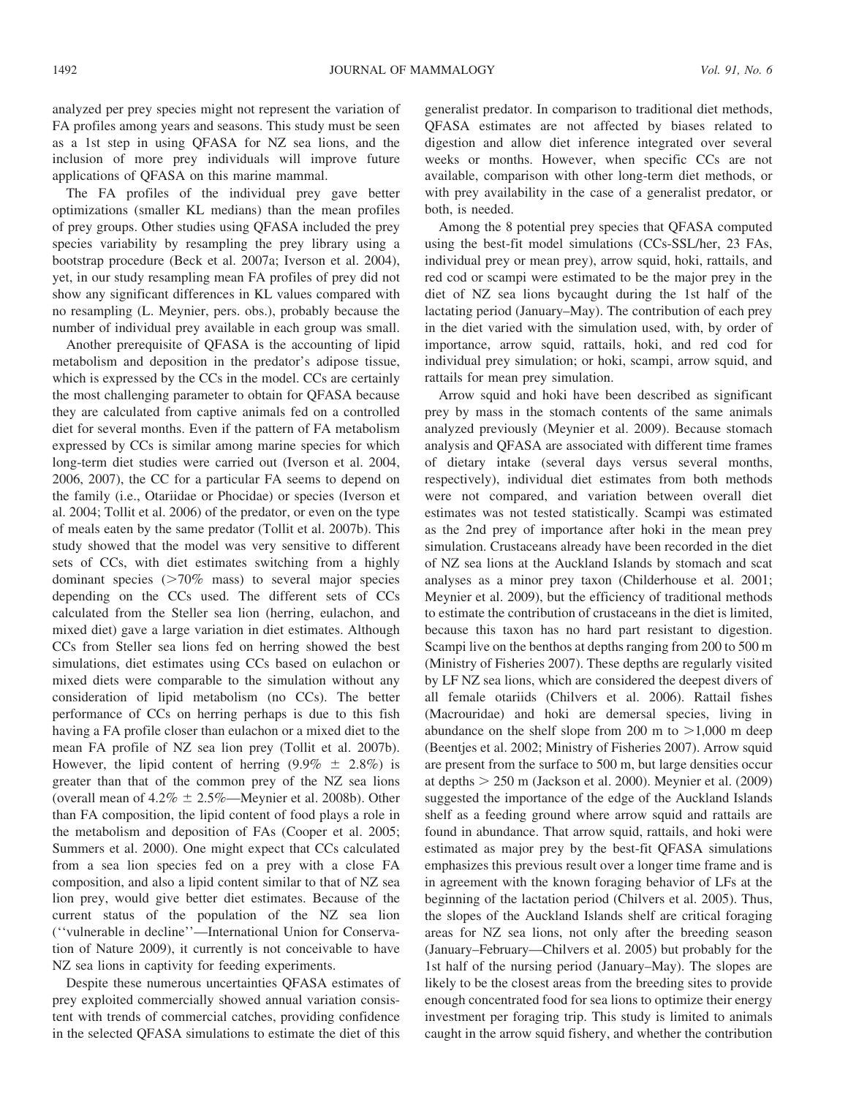analyzed per prey species might not represent the variation of FA profiles among years and seasons. This study must be seen as a 1st step in using QFASA for NZ sea lions, and the inclusion of more prey individuals will improve future applications of QFASA on this marine mammal.

The FA profiles of the individual prey gave better optimizations (smaller KL medians) than the mean profiles of prey groups. Other studies using QFASA included the prey species variability by resampling the prey library using a bootstrap procedure (Beck et al. 2007a; Iverson et al. 2004), yet, in our study resampling mean FA profiles of prey did not show any significant differences in KL values compared with no resampling (L. Meynier, pers. obs.), probably because the number of individual prey available in each group was small.

Another prerequisite of QFASA is the accounting of lipid metabolism and deposition in the predator's adipose tissue, which is expressed by the CCs in the model. CCs are certainly the most challenging parameter to obtain for QFASA because they are calculated from captive animals fed on a controlled diet for several months. Even if the pattern of FA metabolism expressed by CCs is similar among marine species for which long-term diet studies were carried out (Iverson et al. 2004, 2006, 2007), the CC for a particular FA seems to depend on the family (i.e., Otariidae or Phocidae) or species (Iverson et al. 2004; Tollit et al. 2006) of the predator, or even on the type of meals eaten by the same predator (Tollit et al. 2007b). This study showed that the model was very sensitive to different sets of CCs, with diet estimates switching from a highly dominant species  $(>=70\%$  mass) to several major species depending on the CCs used. The different sets of CCs calculated from the Steller sea lion (herring, eulachon, and mixed diet) gave a large variation in diet estimates. Although CCs from Steller sea lions fed on herring showed the best simulations, diet estimates using CCs based on eulachon or mixed diets were comparable to the simulation without any consideration of lipid metabolism (no CCs). The better performance of CCs on herring perhaps is due to this fish having a FA profile closer than eulachon or a mixed diet to the mean FA profile of NZ sea lion prey (Tollit et al. 2007b). However, the lipid content of herring  $(9.9\% \pm 2.8\%)$  is greater than that of the common prey of the NZ sea lions (overall mean of  $4.2\% \pm 2.5\%$ —Meynier et al. 2008b). Other than FA composition, the lipid content of food plays a role in the metabolism and deposition of FAs (Cooper et al. 2005; Summers et al. 2000). One might expect that CCs calculated from a sea lion species fed on a prey with a close FA composition, and also a lipid content similar to that of NZ sea lion prey, would give better diet estimates. Because of the current status of the population of the NZ sea lion (''vulnerable in decline''—International Union for Conservation of Nature 2009), it currently is not conceivable to have NZ sea lions in captivity for feeding experiments.

Despite these numerous uncertainties QFASA estimates of prey exploited commercially showed annual variation consistent with trends of commercial catches, providing confidence in the selected QFASA simulations to estimate the diet of this generalist predator. In comparison to traditional diet methods, QFASA estimates are not affected by biases related to digestion and allow diet inference integrated over several weeks or months. However, when specific CCs are not available, comparison with other long-term diet methods, or with prey availability in the case of a generalist predator, or both, is needed.

Among the 8 potential prey species that QFASA computed using the best-fit model simulations (CCs-SSL/her, 23 FAs, individual prey or mean prey), arrow squid, hoki, rattails, and red cod or scampi were estimated to be the major prey in the diet of NZ sea lions bycaught during the 1st half of the lactating period (January–May). The contribution of each prey in the diet varied with the simulation used, with, by order of importance, arrow squid, rattails, hoki, and red cod for individual prey simulation; or hoki, scampi, arrow squid, and rattails for mean prey simulation.

Arrow squid and hoki have been described as significant prey by mass in the stomach contents of the same animals analyzed previously (Meynier et al. 2009). Because stomach analysis and QFASA are associated with different time frames of dietary intake (several days versus several months, respectively), individual diet estimates from both methods were not compared, and variation between overall diet estimates was not tested statistically. Scampi was estimated as the 2nd prey of importance after hoki in the mean prey simulation. Crustaceans already have been recorded in the diet of NZ sea lions at the Auckland Islands by stomach and scat analyses as a minor prey taxon (Childerhouse et al. 2001; Meynier et al. 2009), but the efficiency of traditional methods to estimate the contribution of crustaceans in the diet is limited, because this taxon has no hard part resistant to digestion. Scampi live on the benthos at depths ranging from 200 to 500 m (Ministry of Fisheries 2007). These depths are regularly visited by LF NZ sea lions, which are considered the deepest divers of all female otariids (Chilvers et al. 2006). Rattail fishes (Macrouridae) and hoki are demersal species, living in abundance on the shelf slope from 200 m to  $>1,000$  m deep (Beentjes et al. 2002; Ministry of Fisheries 2007). Arrow squid are present from the surface to 500 m, but large densities occur at depths  $> 250$  m (Jackson et al. 2000). Meynier et al. (2009) suggested the importance of the edge of the Auckland Islands shelf as a feeding ground where arrow squid and rattails are found in abundance. That arrow squid, rattails, and hoki were estimated as major prey by the best-fit QFASA simulations emphasizes this previous result over a longer time frame and is in agreement with the known foraging behavior of LFs at the beginning of the lactation period (Chilvers et al. 2005). Thus, the slopes of the Auckland Islands shelf are critical foraging areas for NZ sea lions, not only after the breeding season (January–February—Chilvers et al. 2005) but probably for the 1st half of the nursing period (January–May). The slopes are likely to be the closest areas from the breeding sites to provide enough concentrated food for sea lions to optimize their energy investment per foraging trip. This study is limited to animals caught in the arrow squid fishery, and whether the contribution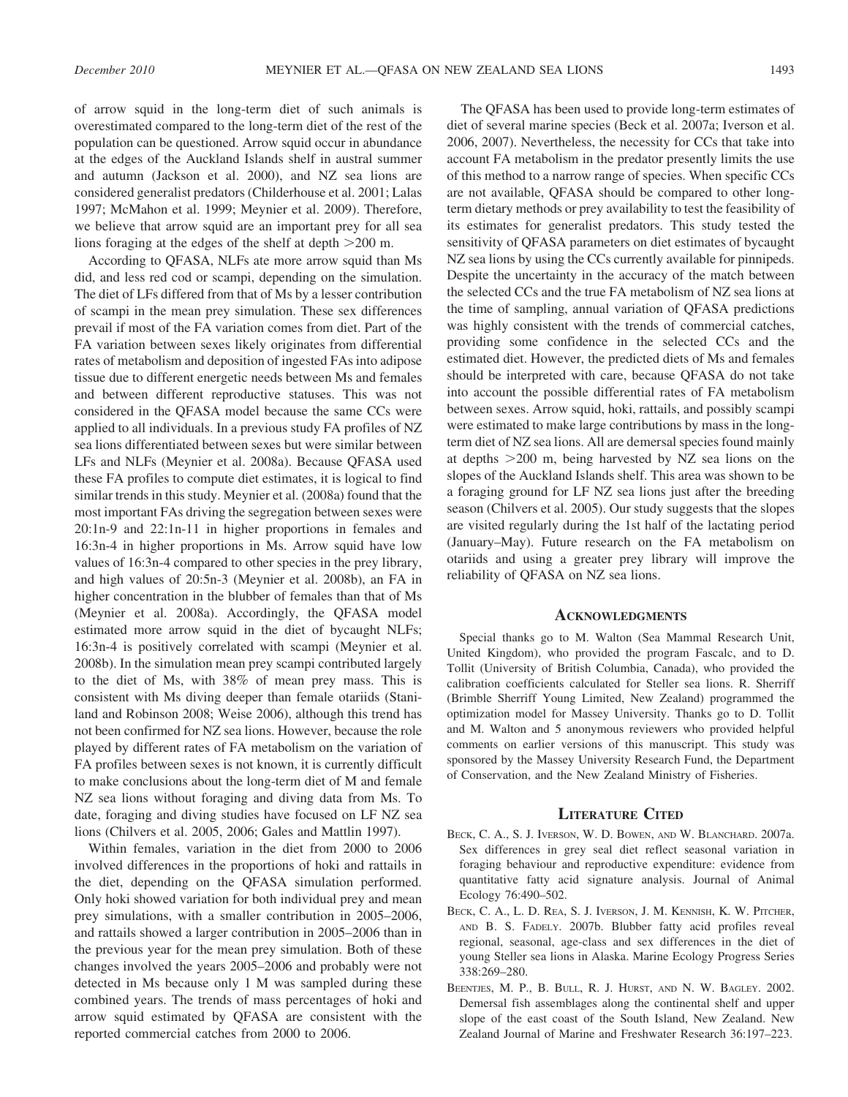of arrow squid in the long-term diet of such animals is overestimated compared to the long-term diet of the rest of the population can be questioned. Arrow squid occur in abundance at the edges of the Auckland Islands shelf in austral summer and autumn (Jackson et al. 2000), and NZ sea lions are considered generalist predators (Childerhouse et al. 2001; Lalas 1997; McMahon et al. 1999; Meynier et al. 2009). Therefore, we believe that arrow squid are an important prey for all sea lions foraging at the edges of the shelf at depth  $>200$  m.

According to QFASA, NLFs ate more arrow squid than Ms did, and less red cod or scampi, depending on the simulation. The diet of LFs differed from that of Ms by a lesser contribution of scampi in the mean prey simulation. These sex differences prevail if most of the FA variation comes from diet. Part of the FA variation between sexes likely originates from differential rates of metabolism and deposition of ingested FAs into adipose tissue due to different energetic needs between Ms and females and between different reproductive statuses. This was not considered in the QFASA model because the same CCs were applied to all individuals. In a previous study FA profiles of NZ sea lions differentiated between sexes but were similar between LFs and NLFs (Meynier et al. 2008a). Because QFASA used these FA profiles to compute diet estimates, it is logical to find similar trends in this study. Meynier et al. (2008a) found that the most important FAs driving the segregation between sexes were 20:1n-9 and 22:1n-11 in higher proportions in females and 16:3n-4 in higher proportions in Ms. Arrow squid have low values of 16:3n-4 compared to other species in the prey library, and high values of 20:5n-3 (Meynier et al. 2008b), an FA in higher concentration in the blubber of females than that of Ms (Meynier et al. 2008a). Accordingly, the QFASA model estimated more arrow squid in the diet of bycaught NLFs; 16:3n-4 is positively correlated with scampi (Meynier et al. 2008b). In the simulation mean prey scampi contributed largely to the diet of Ms, with 38% of mean prey mass. This is consistent with Ms diving deeper than female otariids (Staniland and Robinson 2008; Weise 2006), although this trend has not been confirmed for NZ sea lions. However, because the role played by different rates of FA metabolism on the variation of FA profiles between sexes is not known, it is currently difficult to make conclusions about the long-term diet of M and female NZ sea lions without foraging and diving data from Ms. To date, foraging and diving studies have focused on LF NZ sea lions (Chilvers et al. 2005, 2006; Gales and Mattlin 1997).

Within females, variation in the diet from 2000 to 2006 involved differences in the proportions of hoki and rattails in the diet, depending on the QFASA simulation performed. Only hoki showed variation for both individual prey and mean prey simulations, with a smaller contribution in 2005–2006, and rattails showed a larger contribution in 2005–2006 than in the previous year for the mean prey simulation. Both of these changes involved the years 2005–2006 and probably were not detected in Ms because only 1 M was sampled during these combined years. The trends of mass percentages of hoki and arrow squid estimated by QFASA are consistent with the reported commercial catches from 2000 to 2006.

The QFASA has been used to provide long-term estimates of diet of several marine species (Beck et al. 2007a; Iverson et al. 2006, 2007). Nevertheless, the necessity for CCs that take into account FA metabolism in the predator presently limits the use of this method to a narrow range of species. When specific CCs are not available, QFASA should be compared to other longterm dietary methods or prey availability to test the feasibility of its estimates for generalist predators. This study tested the sensitivity of QFASA parameters on diet estimates of bycaught NZ sea lions by using the CCs currently available for pinnipeds. Despite the uncertainty in the accuracy of the match between the selected CCs and the true FA metabolism of NZ sea lions at the time of sampling, annual variation of QFASA predictions was highly consistent with the trends of commercial catches, providing some confidence in the selected CCs and the estimated diet. However, the predicted diets of Ms and females should be interpreted with care, because QFASA do not take into account the possible differential rates of FA metabolism between sexes. Arrow squid, hoki, rattails, and possibly scampi were estimated to make large contributions by mass in the longterm diet of NZ sea lions. All are demersal species found mainly at depths  $>200$  m, being harvested by NZ sea lions on the slopes of the Auckland Islands shelf. This area was shown to be a foraging ground for LF NZ sea lions just after the breeding season (Chilvers et al. 2005). Our study suggests that the slopes are visited regularly during the 1st half of the lactating period (January–May). Future research on the FA metabolism on otariids and using a greater prey library will improve the reliability of QFASA on NZ sea lions.

## **ACKNOWLEDGMENTS**

Special thanks go to M. Walton (Sea Mammal Research Unit, United Kingdom), who provided the program Fascalc, and to D. Tollit (University of British Columbia, Canada), who provided the calibration coefficients calculated for Steller sea lions. R. Sherriff (Brimble Sherriff Young Limited, New Zealand) programmed the optimization model for Massey University. Thanks go to D. Tollit and M. Walton and 5 anonymous reviewers who provided helpful comments on earlier versions of this manuscript. This study was sponsored by the Massey University Research Fund, the Department of Conservation, and the New Zealand Ministry of Fisheries.

#### LITERATURE CITED

- BECK, C. A., S. J. IVERSON, W. D. BOWEN, AND W. BLANCHARD. 2007a. Sex differences in grey seal diet reflect seasonal variation in foraging behaviour and reproductive expenditure: evidence from quantitative fatty acid signature analysis. Journal of Animal Ecology 76:490–502.
- BECK, C. A., L. D. REA, S. J. IVERSON, J. M. KENNISH, K. W. PITCHER, AND B. S. FADELY. 2007b. Blubber fatty acid profiles reveal regional, seasonal, age-class and sex differences in the diet of young Steller sea lions in Alaska. Marine Ecology Progress Series 338:269–280.
- BEENTJES, M. P., B. BULL, R. J. HURST, AND N. W. BAGLEY. 2002. Demersal fish assemblages along the continental shelf and upper slope of the east coast of the South Island, New Zealand. New Zealand Journal of Marine and Freshwater Research 36:197–223.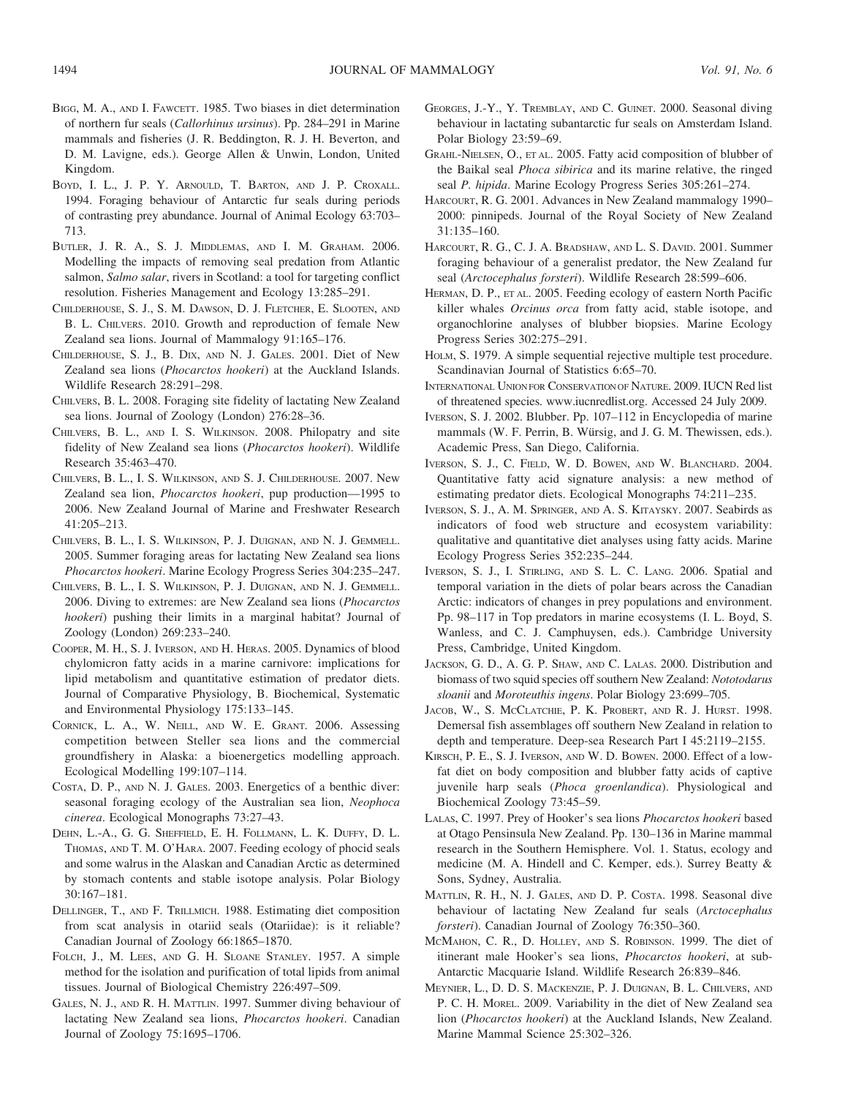- BIGG, M. A., AND I. FAWCETT. 1985. Two biases in diet determination of northern fur seals (Callorhinus ursinus). Pp. 284–291 in Marine mammals and fisheries (J. R. Beddington, R. J. H. Beverton, and D. M. Lavigne, eds.). George Allen & Unwin, London, United Kingdom.
- BOYD, I. L., J. P. Y. ARNOULD, T. BARTON, AND J. P. CROXALL. 1994. Foraging behaviour of Antarctic fur seals during periods of contrasting prey abundance. Journal of Animal Ecology 63:703– 713.
- BUTLER, J. R. A., S. J. MIDDLEMAS, AND I. M. GRAHAM. 2006. Modelling the impacts of removing seal predation from Atlantic salmon, Salmo salar, rivers in Scotland: a tool for targeting conflict resolution. Fisheries Management and Ecology 13:285–291.
- CHILDERHOUSE, S. J., S. M. DAWSON, D. J. FLETCHER, E. SLOOTEN, AND B. L. CHILVERS. 2010. Growth and reproduction of female New Zealand sea lions. Journal of Mammalogy 91:165–176.
- CHILDERHOUSE, S. J., B. DIX, AND N. J. GALES. 2001. Diet of New Zealand sea lions (Phocarctos hookeri) at the Auckland Islands. Wildlife Research 28:291–298.
- CHILVERS, B. L. 2008. Foraging site fidelity of lactating New Zealand sea lions. Journal of Zoology (London) 276:28–36.
- CHILVERS, B. L., AND I. S. WILKINSON. 2008. Philopatry and site fidelity of New Zealand sea lions (Phocarctos hookeri). Wildlife Research 35:463–470.
- CHILVERS, B. L., I. S. WILKINSON, AND S. J. CHILDERHOUSE. 2007. New Zealand sea lion, Phocarctos hookeri, pup production—1995 to 2006. New Zealand Journal of Marine and Freshwater Research 41:205–213.
- CHILVERS, B. L., I. S. WILKINSON, P. J. DUIGNAN, AND N. J. GEMMELL. 2005. Summer foraging areas for lactating New Zealand sea lions Phocarctos hookeri. Marine Ecology Progress Series 304:235–247.
- CHILVERS, B. L., I. S. WILKINSON, P. J. DUIGNAN, AND N. J. GEMMELL. 2006. Diving to extremes: are New Zealand sea lions (Phocarctos hookeri) pushing their limits in a marginal habitat? Journal of Zoology (London) 269:233–240.
- COOPER, M. H., S. J. IVERSON, AND H. HERAS. 2005. Dynamics of blood chylomicron fatty acids in a marine carnivore: implications for lipid metabolism and quantitative estimation of predator diets. Journal of Comparative Physiology, B. Biochemical, Systematic and Environmental Physiology 175:133–145.
- CORNICK, L. A., W. NEILL, AND W. E. GRANT. 2006. Assessing competition between Steller sea lions and the commercial groundfishery in Alaska: a bioenergetics modelling approach. Ecological Modelling 199:107–114.
- COSTA, D. P., AND N. J. GALES. 2003. Energetics of a benthic diver: seasonal foraging ecology of the Australian sea lion, Neophoca cinerea. Ecological Monographs 73:27–43.
- DEHN, L.-A., G. G. SHEFFIELD, E. H. FOLLMANN, L. K. DUFFY, D. L. THOMAS, AND T. M. O'HARA. 2007. Feeding ecology of phocid seals and some walrus in the Alaskan and Canadian Arctic as determined by stomach contents and stable isotope analysis. Polar Biology 30:167–181.
- DELLINGER, T., AND F. TRILLMICH. 1988. Estimating diet composition from scat analysis in otariid seals (Otariidae): is it reliable? Canadian Journal of Zoology 66:1865–1870.
- FOLCH, J., M. LEES, AND G. H. SLOANE STANLEY. 1957. A simple method for the isolation and purification of total lipids from animal tissues. Journal of Biological Chemistry 226:497–509.
- GALES, N. J., AND R. H. MATTLIN. 1997. Summer diving behaviour of lactating New Zealand sea lions, Phocarctos hookeri. Canadian Journal of Zoology 75:1695–1706.
- GEORGES, J.-Y., Y. TREMBLAY, AND C. GUINET. 2000. Seasonal diving behaviour in lactating subantarctic fur seals on Amsterdam Island. Polar Biology 23:59–69.
- GRAHL-NIELSEN, O., ET AL. 2005. Fatty acid composition of blubber of the Baikal seal Phoca sibirica and its marine relative, the ringed seal P. hipida. Marine Ecology Progress Series 305:261–274.
- HARCOURT, R. G. 2001. Advances in New Zealand mammalogy 1990– 2000: pinnipeds. Journal of the Royal Society of New Zealand 31:135–160.
- HARCOURT, R. G., C. J. A. BRADSHAW, AND L. S. DAVID. 2001. Summer foraging behaviour of a generalist predator, the New Zealand fur seal (Arctocephalus forsteri). Wildlife Research 28:599–606.
- HERMAN, D. P., ET AL. 2005. Feeding ecology of eastern North Pacific killer whales Orcinus orca from fatty acid, stable isotope, and organochlorine analyses of blubber biopsies. Marine Ecology Progress Series 302:275–291.
- HOLM, S. 1979. A simple sequential rejective multiple test procedure. Scandinavian Journal of Statistics 6:65–70.
- INTERNATIONAL UNION FOR CONSERVATION OF NATURE. 2009. IUCN Red list of threatened species. www.iucnredlist.org. Accessed 24 July 2009.
- IVERSON, S. J. 2002. Blubber. Pp. 107–112 in Encyclopedia of marine mammals (W. F. Perrin, B. Würsig, and J. G. M. Thewissen, eds.). Academic Press, San Diego, California.
- IVERSON, S. J., C. FIELD, W. D. BOWEN, AND W. BLANCHARD. 2004. Quantitative fatty acid signature analysis: a new method of estimating predator diets. Ecological Monographs 74:211–235.
- IVERSON, S. J., A. M. SPRINGER, AND A. S. KITAYSKY. 2007. Seabirds as indicators of food web structure and ecosystem variability: qualitative and quantitative diet analyses using fatty acids. Marine Ecology Progress Series 352:235–244.
- IVERSON, S. J., I. STIRLING, AND S. L. C. LANG. 2006. Spatial and temporal variation in the diets of polar bears across the Canadian Arctic: indicators of changes in prey populations and environment. Pp. 98–117 in Top predators in marine ecosystems (I. L. Boyd, S. Wanless, and C. J. Camphuysen, eds.). Cambridge University Press, Cambridge, United Kingdom.
- JACKSON, G. D., A. G. P. SHAW, AND C. LALAS. 2000. Distribution and biomass of two squid species off southern New Zealand: Nototodarus sloanii and Moroteuthis ingens. Polar Biology 23:699–705.
- JACOB, W., S. MCCLATCHIE, P. K. PROBERT, AND R. J. HURST. 1998. Demersal fish assemblages off southern New Zealand in relation to depth and temperature. Deep-sea Research Part I 45:2119–2155.
- KIRSCH, P. E., S. J. IVERSON, AND W. D. BOWEN. 2000. Effect of a lowfat diet on body composition and blubber fatty acids of captive juvenile harp seals (Phoca groenlandica). Physiological and Biochemical Zoology 73:45–59.
- LALAS, C. 1997. Prey of Hooker's sea lions Phocarctos hookeri based at Otago Pensinsula New Zealand. Pp. 130–136 in Marine mammal research in the Southern Hemisphere. Vol. 1. Status, ecology and medicine (M. A. Hindell and C. Kemper, eds.). Surrey Beatty & Sons, Sydney, Australia.
- MATTLIN, R. H., N. J. GALES, AND D. P. COSTA. 1998. Seasonal dive behaviour of lactating New Zealand fur seals (Arctocephalus forsteri). Canadian Journal of Zoology 76:350–360.
- MCMAHON, C. R., D. HOLLEY, AND S. ROBINSON. 1999. The diet of itinerant male Hooker's sea lions, Phocarctos hookeri, at sub-Antarctic Macquarie Island. Wildlife Research 26:839–846.
- MEYNIER, L., D. D. S. MACKENZIE, P. J. DUIGNAN, B. L. CHILVERS, AND P. C. H. MOREL. 2009. Variability in the diet of New Zealand sea lion (Phocarctos hookeri) at the Auckland Islands, New Zealand. Marine Mammal Science 25:302–326.